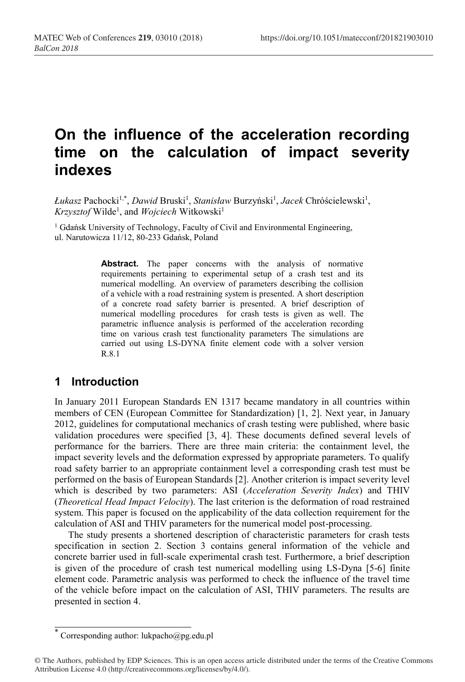# **On the influence of the acceleration recording time on the calculation of impact severity indexes**

Łukasz Pachocki<sup>1,\*</sup>, *Dawid* Bruski<sup>1</sup>, *Stanisław* Burzyński<sup>1</sup>, Jacek Chróścielewski<sup>1</sup>, *Krzysztof* Wilde<sup>1</sup>, and *Wojciech* Witkowski<sup>1</sup>

<sup>1</sup> Gdańsk University of Technology, Faculty of Civil and Environmental Engineering, ul. Narutowicza 11/12, 80-233 Gdańsk, Poland

> Abstract. The paper concerns with the analysis of normative requirements pertaining to experimental setup of a crash test and its numerical modelling. An overview of parameters describing the collision of a vehicle with a road restraining system is presented. A short description of a concrete road safety barrier is presented. A brief description of numerical modelling procedures for crash tests is given as well. The parametric influence analysis is performed of the acceleration recording time on various crash test functionality parameters The simulations are carried out using LS-DYNA finite element code with a solver version R.8.1

### **1 Introduction**

In January 2011 European Standards EN 1317 became mandatory in all countries within members of CEN (European Committee for Standardization) [1, 2]. Next year, in January 2012, guidelines for computational mechanics of crash testing were published, where basic validation procedures were specified [3, 4]. These documents defined several levels of performance for the barriers. There are three main criteria: the containment level, the impact severity levels and the deformation expressed by appropriate parameters. To qualify road safety barrier to an appropriate containment level a corresponding crash test must be performed on the basis of European Standards [2]. Another criterion is impact severity level which is described by two parameters: ASI (*Acceleration Severity Index*) and THIV (*Theoretical Head Impact Velocity*). The last criterion is the deformation of road restrained system. This paper is focused on the applicability of the data collection requirement for the calculation of ASI and THIV parameters for the numerical model post-processing.

The study presents a shortened description of characteristic parameters for crash tests specification in section 2. Section 3 contains general information of the vehicle and concrete barrier used in full-scale experimental crash test. Furthermore, a brief description is given of the procedure of crash test numerical modelling using LS-Dyna [5-6] finite element code. Parametric analysis was performed to check the influence of the travel time of the vehicle before impact on the calculation of ASI, THIV parameters. The results are presented in section 4.

Corresponding author: lukpacho@pg.edu.pl

<sup>©</sup> The Authors, published by EDP Sciences. This is an open access article distributed under the terms of the Creative Commons Attribution License 4.0 (http://creativecommons.org/licenses/by/4.0/).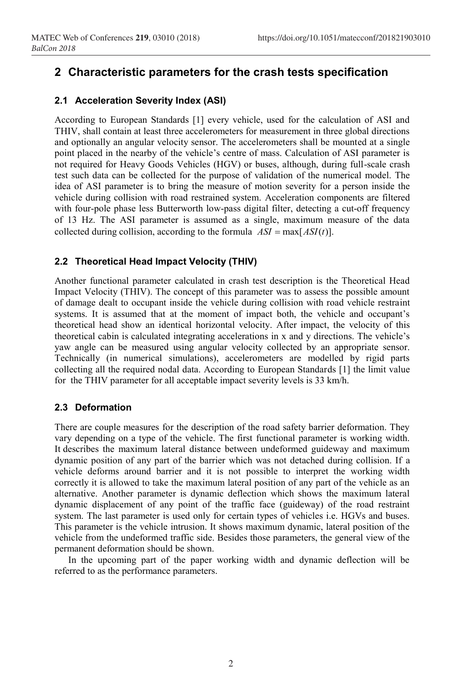# **2 Characteristic parameters for the crash tests specification**

#### **2.1 Acceleration Severity Index (ASI)**

According to European Standards [1] every vehicle, used for the calculation of ASI and THIV, shall contain at least three accelerometers for measurement in three global directions and optionally an angular velocity sensor. The accelerometers shall be mounted at a single point placed in the nearby of the vehicle's centre of mass. Calculation of ASI parameter is not required for Heavy Goods Vehicles (HGV) or buses, although, during full-scale crash test such data can be collected for the purpose of validation of the numerical model. The idea of ASI parameter is to bring the measure of motion severity for a person inside the vehicle during collision with road restrained system. Acceleration components are filtered with four-pole phase less Butterworth low-pass digital filter, detecting a cut-off frequency of 13 Hz. The ASI parameter is assumed as a single, maximum measure of the data collected during collision, according to the formula  $ASI = \max[ASI(t)]$ .

#### **2.2 Theoretical Head Impact Velocity (THIV)**

Another functional parameter calculated in crash test description is the Theoretical Head Impact Velocity (THIV). The concept of this parameter was to assess the possible amount of damage dealt to occupant inside the vehicle during collision with road vehicle restraint systems. It is assumed that at the moment of impact both, the vehicle and occupant's theoretical head show an identical horizontal velocity. After impact, the velocity of this theoretical cabin is calculated integrating accelerations in x and y directions. The vehicle's yaw angle can be measured using angular velocity collected by an appropriate sensor. Technically (in numerical simulations), accelerometers are modelled by rigid parts collecting all the required nodal data. According to European Standards [1] the limit value for the THIV parameter for all acceptable impact severity levels is 33 km/h.

#### **2.3 Deformation**

There are couple measures for the description of the road safety barrier deformation. They vary depending on a type of the vehicle. The first functional parameter is working width. It describes the maximum lateral distance between undeformed guideway and maximum dynamic position of any part of the barrier which was not detached during collision. If a vehicle deforms around barrier and it is not possible to interpret the working width correctly it is allowed to take the maximum lateral position of any part of the vehicle as an alternative. Another parameter is dynamic deflection which shows the maximum lateral dynamic displacement of any point of the traffic face (guideway) of the road restraint system. The last parameter is used only for certain types of vehicles i.e. HGVs and buses. This parameter is the vehicle intrusion. It shows maximum dynamic, lateral position of the vehicle from the undeformed traffic side. Besides those parameters, the general view of the permanent deformation should be shown.

In the upcoming part of the paper working width and dynamic deflection will be referred to as the performance parameters.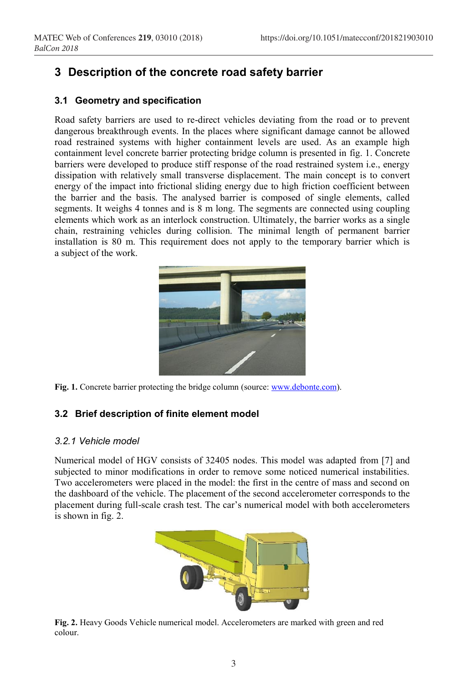# **3 Description of the concrete road safety barrier**

#### **3.1 Geometry and specification**

Road safety barriers are used to re-direct vehicles deviating from the road or to prevent dangerous breakthrough events. In the places where significant damage cannot be allowed road restrained systems with higher containment levels are used. As an example high containment level concrete barrier protecting bridge column is presented in fig. 1. Concrete barriers were developed to produce stiff response of the road restrained system i.e., energy dissipation with relatively small transverse displacement. The main concept is to convert energy of the impact into frictional sliding energy due to high friction coefficient between the barrier and the basis. The analysed barrier is composed of single elements, called segments. It weighs 4 tonnes and is 8 m long. The segments are connected using coupling elements which work as an interlock construction. Ultimately, the barrier works as a single chain, restraining vehicles during collision. The minimal length of permanent barrier installation is 80 m. This requirement does not apply to the temporary barrier which is a subject of the work.



Fig. 1. Concrete barrier protecting the bridge column (source: www.debonte.com).

#### **3.2 Brief description of finite element model**

#### *3.2.1 Vehicle model*

Numerical model of HGV consists of 32405 nodes. This model was adapted from [7] and subjected to minor modifications in order to remove some noticed numerical instabilities. Two accelerometers were placed in the model: the first in the centre of mass and second on the dashboard of the vehicle. The placement of the second accelerometer corresponds to the placement during full-scale crash test. The car's numerical model with both accelerometers is shown in fig. 2.



**Fig. 2.** Heavy Goods Vehicle numerical model. Accelerometers are marked with green and red colour.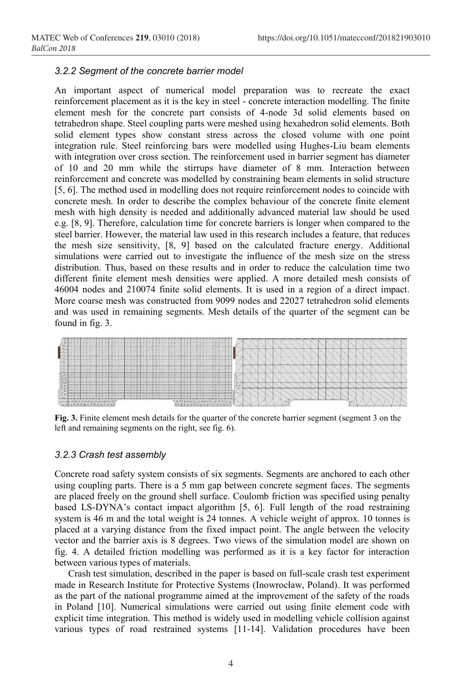#### *3.2.2 Segment of the concrete barrier model*

An important aspect of numerical model preparation was to recreate the exact reinforcement placement as it is the key in steel - concrete interaction modelling. The finite element mesh for the concrete part consists of 4-node 3d solid elements based on tetrahedron shape. Steel coupling parts were meshed using hexahedron solid elements. Both solid element types show constant stress across the closed volume with one point integration rule. Steel reinforcing bars were modelled using Hughes-Liu beam elements with integration over cross section. The reinforcement used in barrier segment has diameter of 10 and 20 mm while the stirrups have diameter of 8 mm. Interaction between reinforcement and concrete was modelled by constraining beam elements in solid structure [5, 6]. The method used in modelling does not require reinforcement nodes to coincide with concrete mesh. In order to describe the complex behaviour of the concrete finite element mesh with high density is needed and additionally advanced material law should be used e.g. [8, 9]. Therefore, calculation time for concrete barriers is longer when compared to the steel barrier. However, the material law used in this research includes a feature, that reduces the mesh size sensitivity, [8, 9] based on the calculated fracture energy. Additional simulations were carried out to investigate the influence of the mesh size on the stress distribution. Thus, based on these results and in order to reduce the calculation time two different finite element mesh densities were applied. A more detailed mesh consists of 46004 nodes and 210074 finite solid elements. It is used in a region of a direct impact. More coarse mesh was constructed from 9099 nodes and 22027 tetrahedron solid elements and was used in remaining segments. Mesh details of the quarter of the segment can be found in fig. 3.



**Fig. 3.** Finite element mesh details for the quarter of the concrete barrier segment (segment 3 on the left and remaining segments on the right, see fig. 6).

#### *3.2.3 Crash test assembly*

Concrete road safety system consists of six segments. Segments are anchored to each other using coupling parts. There is a 5 mm gap between concrete segment faces. The segments are placed freely on the ground shell surface. Coulomb friction was specified using penalty based LS-DYNA's contact impact algorithm [5, 6]. Full length of the road restraining system is 46 m and the total weight is 24 tonnes. A vehicle weight of approx. 10 tonnes is placed at a varying distance from the fixed impact point. The angle between the velocity vector and the barrier axis is 8 degrees. Two views of the simulation model are shown on fig. 4. A detailed friction modelling was performed as it is a key factor for interaction between various types of materials.

Crash test simulation, described in the paper is based on full-scale crash test experiment made in Research Institute for Protective Systems (Inowrocław, Poland). It was performed as the part of the national programme aimed at the improvement of the safety of the roads in Poland [10]. Numerical simulations were carried out using finite element code with explicit time integration. This method is widely used in modelling vehicle collision against various types of road restrained systems [11-14]. Validation procedures have been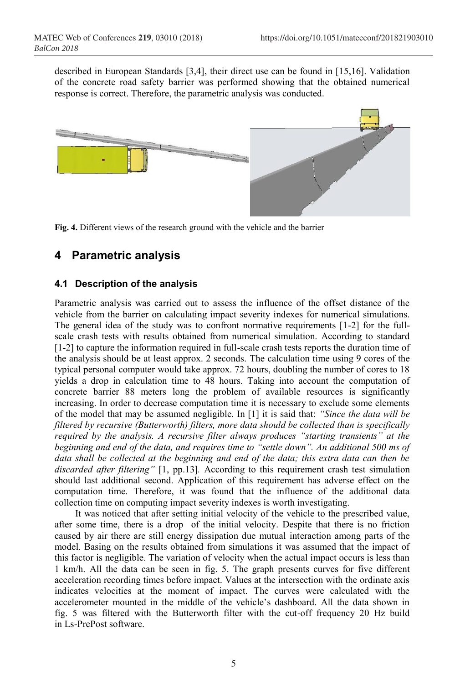described in European Standards [3,4], their direct use can be found in [15,16]. Validation of the concrete road safety barrier was performed showing that the obtained numerical response is correct. Therefore, the parametric analysis was conducted.



**Fig. 4.** Different views of the research ground with the vehicle and the barrier

# **4 Parametric analysis**

#### **4.1 Description of the analysis**

Parametric analysis was carried out to assess the influence of the offset distance of the vehicle from the barrier on calculating impact severity indexes for numerical simulations. The general idea of the study was to confront normative requirements [1-2] for the fullscale crash tests with results obtained from numerical simulation. According to standard [1-2] to capture the information required in full-scale crash tests reports the duration time of the analysis should be at least approx. 2 seconds. The calculation time using 9 cores of the typical personal computer would take approx. 72 hours, doubling the number of cores to 18 yields a drop in calculation time to 48 hours. Taking into account the computation of concrete barrier 88 meters long the problem of available resources is significantly increasing. In order to decrease computation time it is necessary to exclude some elements of the model that may be assumed negligible. In [1] it is said that: *"Since the data will be filtered by recursive (Butterworth) filters, more data should be collected than is specifically required by the analysis. A recursive filter always produces "starting transients" at the beginning and end of the data, and requires time to "settle down". An additional 500 ms of data shall be collected at the beginning and end of the data; this extra data can then be discarded after filtering"* [1, pp.13]*.* According to this requirement crash test simulation should last additional second. Application of this requirement has adverse effect on the computation time. Therefore, it was found that the influence of the additional data collection time on computing impact severity indexes is worth investigating.

It was noticed that after setting initial velocity of the vehicle to the prescribed value, after some time, there is a drop of the initial velocity. Despite that there is no friction caused by air there are still energy dissipation due mutual interaction among parts of the model. Basing on the results obtained from simulations it was assumed that the impact of this factor is negligible. The variation of velocity when the actual impact occurs is less than 1 km/h. All the data can be seen in fig. 5. The graph presents curves for five different acceleration recording times before impact. Values at the intersection with the ordinate axis indicates velocities at the moment of impact. The curves were calculated with the accelerometer mounted in the middle of the vehicle's dashboard. All the data shown in fig. 5 was filtered with the Butterworth filter with the cut-off frequency 20 Hz build in Ls-PrePost software.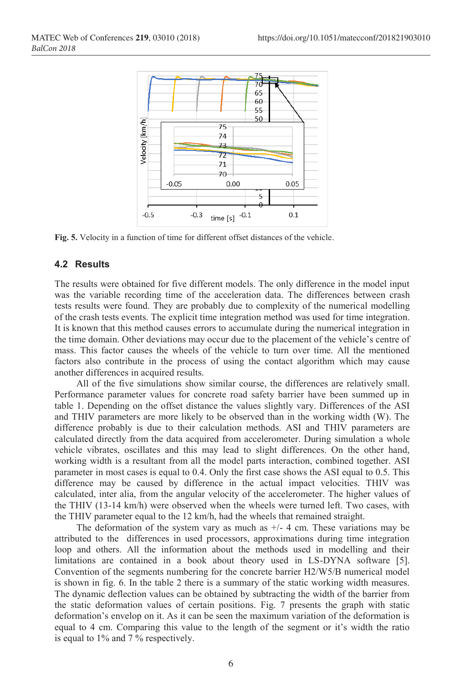

**Fig. 5.** Velocity in a function of time for different offset distances of the vehicle.

#### **4.2 Results**

The results were obtained for five different models. The only difference in the model input was the variable recording time of the acceleration data. The differences between crash tests results were found. They are probably due to complexity of the numerical modelling of the crash tests events. The explicit time integration method was used for time integration. It is known that this method causes errors to accumulate during the numerical integration in the time domain. Other deviations may occur due to the placement of the vehicle's centre of mass. This factor causes the wheels of the vehicle to turn over time. All the mentioned factors also contribute in the process of using the contact algorithm which may cause another differences in acquired results.

All of the five simulations show similar course, the differences are relatively small. Performance parameter values for concrete road safety barrier have been summed up in table 1. Depending on the offset distance the values slightly vary. Differences of the ASI and THIV parameters are more likely to be observed than in the working width (W). The difference probably is due to their calculation methods. ASI and THIV parameters are calculated directly from the data acquired from accelerometer. During simulation a whole vehicle vibrates, oscillates and this may lead to slight differences. On the other hand, working width is a resultant from all the model parts interaction, combined together. ASI parameter in most cases is equal to 0.4. Only the first case shows the ASI equal to 0.5. This difference may be caused by difference in the actual impact velocities. THIV was calculated, inter alia, from the angular velocity of the accelerometer. The higher values of the THIV (13-14 km/h) were observed when the wheels were turned left. Two cases, with the THIV parameter equal to the 12 km/h, had the wheels that remained straight.

The deformation of the system vary as much as  $+/-$  4 cm. These variations may be attributed to the differences in used processors, approximations during time integration loop and others. All the information about the methods used in modelling and their limitations are contained in a book about theory used in LS-DYNA software [5]. Convention of the segments numbering for the concrete barrier H2/W5/B numerical model is shown in fig. 6. In the table 2 there is a summary of the static working width measures. The dynamic deflection values can be obtained by subtracting the width of the barrier from the static deformation values of certain positions. Fig. 7 presents the graph with static deformation's envelop on it. As it can be seen the maximum variation of the deformation is equal to 4 cm. Comparing this value to the length of the segment or it's width the ratio is equal to 1% and 7 % respectively.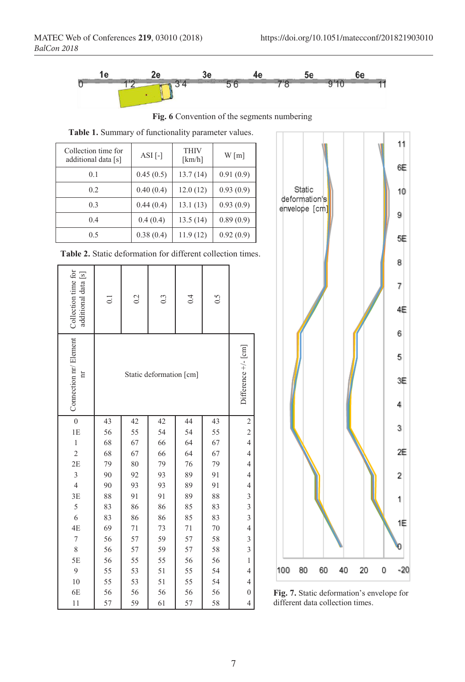

**Fig. 6** Convention of the segments numbering

|  |  |  | Table 1. Summary of functionality parameter values. |
|--|--|--|-----------------------------------------------------|
|--|--|--|-----------------------------------------------------|

| Collection time for<br>additional data [s] | $ASI$ [-] | <b>THIV</b><br>[km/h] | W[m]      |
|--------------------------------------------|-----------|-----------------------|-----------|
| 0.1                                        | 0.45(0.5) | 13.7(14)              | 0.91(0.9) |
| 0.2                                        | 0.40(0.4) | 12.0(12)              | 0.93(0.9) |
| 0.3                                        | 0.44(0.4) | 13.1(13)              | 0.93(0.9) |
| 0.4                                        | 0.4(0.4)  | 13.5(14)              | 0.89(0.9) |
| 0.5                                        | 0.38(0.4) | 11.9(12)              | 0.92(0.9) |

| <b>Table 2.</b> Static deformation for different collection times. |  |  |  |  |
|--------------------------------------------------------------------|--|--|--|--|
|--------------------------------------------------------------------|--|--|--|--|

| Collection time for<br>additional data [s] | $\overline{0}$ .        | 0.2 | 0.3 | 0.4 | 0.5                   |                                       |
|--------------------------------------------|-------------------------|-----|-----|-----|-----------------------|---------------------------------------|
| Connection nr/Element<br>Ħ                 | Static deformation [cm] |     |     |     | Difference $+/-$ [cm] |                                       |
| $\boldsymbol{0}$                           | 43                      | 42  | 42  | 44  | 43                    | $\overline{\mathbf{c}}$               |
| 1E                                         | 56                      | 55  | 54  | 54  | 55                    |                                       |
| $\mathbf{1}$                               | 68                      | 67  | 66  | 64  | 67                    | $\begin{array}{c} 2 \\ 4 \end{array}$ |
| $\overline{c}$                             | 68                      | 67  | 66  | 64  | 67                    | $\frac{4}{4}$                         |
| 2E                                         | 79                      | 80  | 79  | 76  | 79                    |                                       |
| $\overline{\mathbf{3}}$                    | 90                      | 92  | 93  | 89  | 91                    | $\overline{a}$                        |
| $\overline{4}$                             | 90                      | 93  | 93  | 89  | 91                    | $\overline{4}$                        |
| 3E                                         | 88                      | 91  | 91  | 89  | 88                    | $\frac{3}{3}$                         |
| 5                                          | 83                      | 86  | 86  | 85  | 83                    |                                       |
| 6                                          | 83                      | 86  | 86  | 85  | 83                    |                                       |
| 4E                                         | 69                      | 71  | 73  | 71  | 70                    |                                       |
| $\overline{\mathcal{I}}$                   | 56                      | 57  | 59  | 57  | 58                    |                                       |
| 8                                          | 56                      | 57  | 59  | 57  | 58                    |                                       |
| 5E                                         | 56                      | 55  | 55  | 56  | 56                    |                                       |
| 9                                          | 55                      | 53  | 51  | 55  | 54                    | 3433144                               |
| 10                                         | 55                      | 53  | 51  | 55  | 54                    |                                       |
| 6E                                         | 56                      | 56  | 56  | 56  | 56                    | $\overline{0}$                        |
| 11                                         | 57                      | 59  | 61  | 57  | 58                    | $\overline{4}$                        |



**Fig. 7.** Static deformation's envelope for different data collection times.